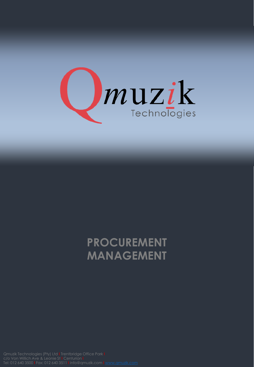

## **PROCUREMENT MANAGEMENT**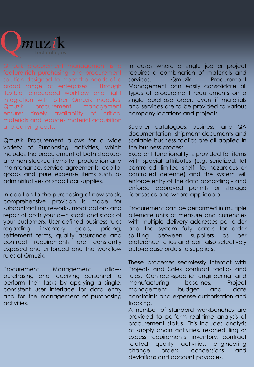

solution designed to meet the needs of a broad range of enterprises. Through flexible, embedded workflow and tight integration with other Qmuzik modules, Qmuzik procurement management ensures timely availability of critical materials and reduces material acquisition and carrying costs.

Qmuzik Procurement allows for a wide variety of Purchasing activities, which includes the procurement of both stockedand non-stocked items for production and maintenance, service agreements, capital goods and pure expense items such as administrative- or shop floor supplies.

In addition to the purchasing of new stock, comprehensive provision is made for subcontracting, reworks, modifications and repair of both your own stock and stock of your customers. User-defined business rules regarding inventory goals, pricing, settlement terms, quality assurance and contract requirements are constantly exposed and enforced and the workflow rules of Qmuzik.

Procurement Management allows purchasing and receiving personnel to perform their tasks by applying a single, consistent user interface for data entry and for the management of purchasing activities.

In cases where a single job or project requires a combination of materials and services, Qmuzik Procurement Management can easily consolidate all types of procurement requirements on a single purchase order, even if materials and services are to be provided to various company locations and projects.

Supplier catalogues, business- and QA documentation, shipment documents and scalable business tactics are all applied in the business process.

Excellent functionality is provided for items with special attributes (e.g. serialized, lot controlled, limited shelf life, hazardous or controlled defence) and the system will enforce entry of the data accordingly and enforce approved permits or storage licenses as and where applicable.

Procurement can be performed in multiple alternate units of measure and currencies with multiple delivery addresses per order and the system fully caters for order splitting between suppliers as per preference ratios and can also selectively auto-release orders to suppliers.

These processes seamlessly interact with Project- and Sales contract tactics and rules, Contract-specific engineering and manufacturing baselines, Project management budget and date constraints and expense authorisation and tracking.

A number of standard workbenches are provided to perform real-time analysis of procurement status. This includes analysis of supply chain activities, rescheduling or excess requirements, inventory, contract related quality activities, engineering change orders, concessions and deviations and account payables.